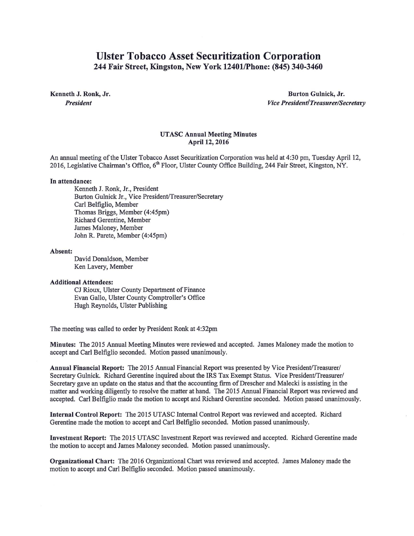# Ulster Tobacco Asset Securitization Corporation 244 Fair Street, Kingston, New York 12401/Phone: (845) 340-3460

Kenneth J. Ronk, Jr. *President* 

Burton Gulnick, Jr. *Vice President/Treasurer/Secretary* 

## UTASC Annual Meeting Minutes April 12, 2016

An annual meeting ofthe Ulster Tobacco Asset Securitization Corporation was held at 4:30 pm, Tuesday April 12, 2016, Legislative Chairman's Office, 6<sup>th</sup> Floor, Ulster County Office Building, 244 Fair Street, Kingston, NY.

### In attendance:

Kenneth J. Ronk, Jr., President Burton Gulnick Jr., Vice President/Treasurer/Secretary Carl Belfiglio, Member Thomas Briggs, Member (4:45pm) Richard Gerentine, Member James Maloney, Member John R. Parete, Member (4:45pm)

#### Absent:

David Donaldson, Member Ken Lavery, Member

## Additional Attendees:

CJ Rioux, Ulster County Department of Finance Evan Gallo, Ulster County Comptroller's Office Hugh Reynolds, Ulster Publishing

The meeting was called to order by President Ronk at 4:32pm

Minutes: The 2015 Annual Meeting Minutes were reviewed and accepted. James Maloney made the motion to accept and Carl Belfiglio seconded. Motion passed unanimously.

Annual Financial Report: The 2015 Annual Financial Report was presented by Vice President/Treasurer/ Secretary Gulnick. Richard Gerentine inquired about the IRS Tax Exempt Status. Vice President/Treasurer/ Secretary gave an update on the status and that the accounting firm of Drescher and Malecki is assisting in the matter and working diligently to resolve the matter at hand. The 2015 Annual Financial Report was reviewed and accepted. Carl Belfiglio made the motion to accept and Richard Gerentine seconded. Motion passed unanimously.

Internal Control Report: The 2015 UTASC Internal Control Report was reviewed and accepted. Richard Gerentine made the motion to accept and Carl Belfiglio seconded. Motion passed unanimously.

Investment Report: The 2015 UTASC Investment Report was reviewed and accepted. Richard Gerentine made the motion to accept and James Maloney seconded. Motion passed unanimously.

Organizational Chart: The 2016 Organizational Chart was reviewed and accepted. James Maloney made the motion to accept and Carl Belfiglio seconded. Motion passed unanimously.